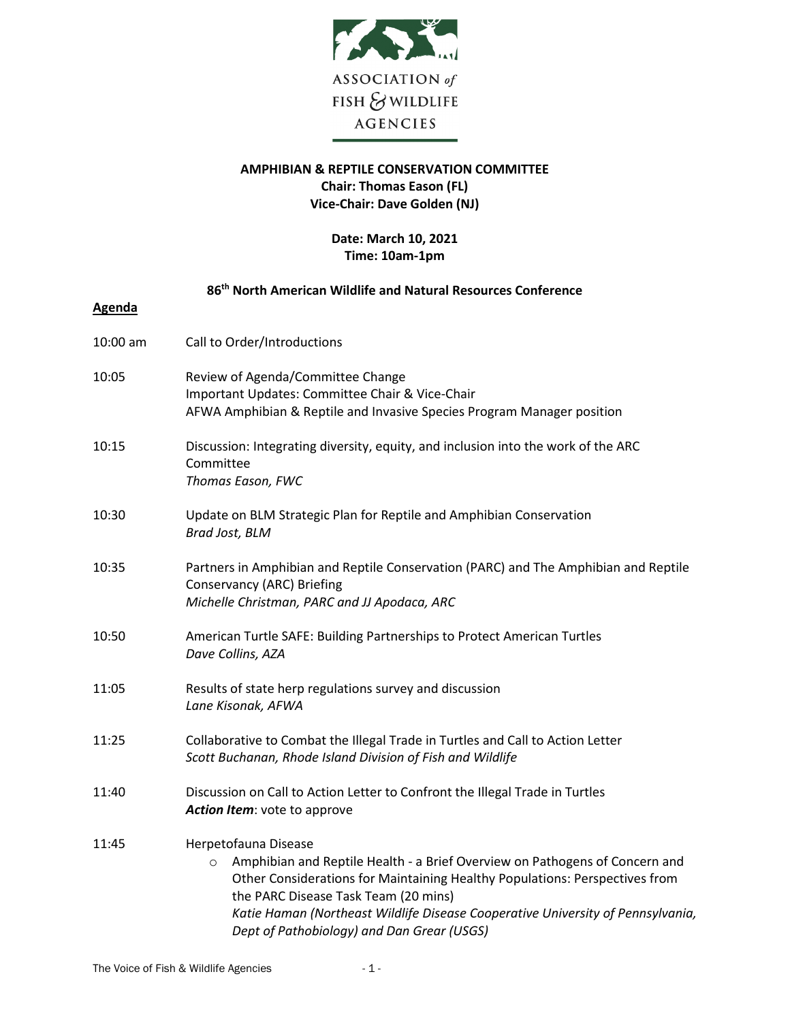

## **AMPHIBIAN & REPTILE CONSERVATION COMMITTEE Chair: Thomas Eason (FL) Vice-Chair: Dave Golden (NJ)**

## **Date: March 10, 2021 Time: 10am-1pm**

|               | 86 <sup>th</sup> North American Wildlife and Natural Resources Conference                                                                                                                                                                                                                                                                                              |
|---------------|------------------------------------------------------------------------------------------------------------------------------------------------------------------------------------------------------------------------------------------------------------------------------------------------------------------------------------------------------------------------|
| <b>Agenda</b> |                                                                                                                                                                                                                                                                                                                                                                        |
| 10:00 am      | Call to Order/Introductions                                                                                                                                                                                                                                                                                                                                            |
| 10:05         | Review of Agenda/Committee Change<br>Important Updates: Committee Chair & Vice-Chair<br>AFWA Amphibian & Reptile and Invasive Species Program Manager position                                                                                                                                                                                                         |
| 10:15         | Discussion: Integrating diversity, equity, and inclusion into the work of the ARC<br>Committee<br>Thomas Eason, FWC                                                                                                                                                                                                                                                    |
| 10:30         | Update on BLM Strategic Plan for Reptile and Amphibian Conservation<br>Brad Jost, BLM                                                                                                                                                                                                                                                                                  |
| 10:35         | Partners in Amphibian and Reptile Conservation (PARC) and The Amphibian and Reptile<br>Conservancy (ARC) Briefing<br>Michelle Christman, PARC and JJ Apodaca, ARC                                                                                                                                                                                                      |
| 10:50         | American Turtle SAFE: Building Partnerships to Protect American Turtles<br>Dave Collins, AZA                                                                                                                                                                                                                                                                           |
| 11:05         | Results of state herp regulations survey and discussion<br>Lane Kisonak, AFWA                                                                                                                                                                                                                                                                                          |
| 11:25         | Collaborative to Combat the Illegal Trade in Turtles and Call to Action Letter<br>Scott Buchanan, Rhode Island Division of Fish and Wildlife                                                                                                                                                                                                                           |
| 11:40         | Discussion on Call to Action Letter to Confront the Illegal Trade in Turtles<br>Action Item: vote to approve                                                                                                                                                                                                                                                           |
| 11:45         | Herpetofauna Disease<br>Amphibian and Reptile Health - a Brief Overview on Pathogens of Concern and<br>$\circ$<br>Other Considerations for Maintaining Healthy Populations: Perspectives from<br>the PARC Disease Task Team (20 mins)<br>Katie Haman (Northeast Wildlife Disease Cooperative University of Pennsylvania,<br>Dept of Pathobiology) and Dan Grear (USGS) |